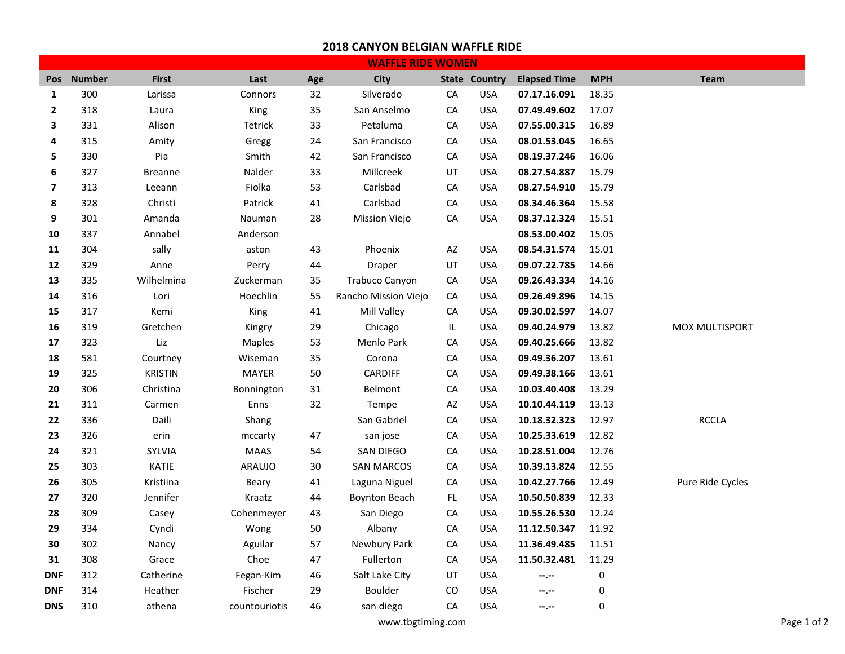## **2018 CANYON BELGIAN WAFFLE RIDE**

| <b>WAFFLE RIDE WOMEN</b> |               |                |               |     |                      |            |                      |                     |            |                  |
|--------------------------|---------------|----------------|---------------|-----|----------------------|------------|----------------------|---------------------|------------|------------------|
| <b>Pos</b>               | <b>Number</b> | <b>First</b>   | Last          | Age | City                 |            | <b>State Country</b> | <b>Elapsed Time</b> | <b>MPH</b> | <b>Team</b>      |
| $\mathbf 1$              | 300           | Larissa        | Connors       | 32  | Silverado            | CA         | <b>USA</b>           | 07.17.16.091        | 18.35      |                  |
| $\mathbf{2}$             | 318           | Laura          | King          | 35  | San Anselmo          | ${\sf CA}$ | <b>USA</b>           | 07.49.49.602        | 17.07      |                  |
| 3                        | 331           | Alison         | Tetrick       | 33  | Petaluma             | ${\sf CA}$ | <b>USA</b>           | 07.55.00.315        | 16.89      |                  |
| 4                        | 315           | Amity          | Gregg         | 24  | San Francisco        | CA         | <b>USA</b>           | 08.01.53.045        | 16.65      |                  |
| 5                        | 330           | Pia            | Smith         | 42  | San Francisco        | CA         | <b>USA</b>           | 08.19.37.246        | 16.06      |                  |
| 6                        | 327           | <b>Breanne</b> | Nalder        | 33  | Millcreek            | UT         | <b>USA</b>           | 08.27.54.887        | 15.79      |                  |
| $\overline{\mathbf{z}}$  | 313           | Leeann         | Fiolka        | 53  | Carlsbad             | ${\sf CA}$ | <b>USA</b>           | 08.27.54.910        | 15.79      |                  |
| 8                        | 328           | Christi        | Patrick       | 41  | Carlsbad             | ${\sf CA}$ | <b>USA</b>           | 08.34.46.364        | 15.58      |                  |
| 9                        | 301           | Amanda         | Nauman        | 28  | <b>Mission Viejo</b> | CA         | <b>USA</b>           | 08.37.12.324        | 15.51      |                  |
| 10                       | 337           | Annabel        | Anderson      |     |                      |            |                      | 08.53.00.402        | 15.05      |                  |
| 11                       | 304           | sally          | aston         | 43  | Phoenix              | AZ         | <b>USA</b>           | 08.54.31.574        | 15.01      |                  |
| 12                       | 329           | Anne           | Perry         | 44  | Draper               | UT         | <b>USA</b>           | 09.07.22.785        | 14.66      |                  |
| 13                       | 335           | Wilhelmina     | Zuckerman     | 35  | Trabuco Canyon       | ${\sf CA}$ | <b>USA</b>           | 09.26.43.334        | 14.16      |                  |
| 14                       | 316           | Lori           | Hoechlin      | 55  | Rancho Mission Viejo | CA         | <b>USA</b>           | 09.26.49.896        | 14.15      |                  |
| 15                       | 317           | Kemi           | King          | 41  | Mill Valley          | ${\sf CA}$ | <b>USA</b>           | 09.30.02.597        | 14.07      |                  |
| 16                       | 319           | Gretchen       | Kingry        | 29  | Chicago              | IL         | <b>USA</b>           | 09.40.24.979        | 13.82      | MOX MULTISPORT   |
| 17                       | 323           | Liz            | <b>Maples</b> | 53  | Menlo Park           | CA         | <b>USA</b>           | 09.40.25.666        | 13.82      |                  |
| 18                       | 581           | Courtney       | Wiseman       | 35  | Corona               | CA         | <b>USA</b>           | 09.49.36.207        | 13.61      |                  |
| 19                       | 325           | <b>KRISTIN</b> | <b>MAYER</b>  | 50  | CARDIFF              | ${\sf CA}$ | <b>USA</b>           | 09.49.38.166        | 13.61      |                  |
| 20                       | 306           | Christina      | Bonnington    | 31  | Belmont              | ${\sf CA}$ | <b>USA</b>           | 10.03.40.408        | 13.29      |                  |
| 21                       | 311           | Carmen         | Enns          | 32  | Tempe                | AZ         | <b>USA</b>           | 10.10.44.119        | 13.13      |                  |
| 22                       | 336           | Daili          | Shang         |     | San Gabriel          | ${\sf CA}$ | <b>USA</b>           | 10.18.32.323        | 12.97      | <b>RCCLA</b>     |
| 23                       | 326           | erin           | mccarty       | 47  | san jose             | ${\sf CA}$ | <b>USA</b>           | 10.25.33.619        | 12.82      |                  |
| 24                       | 321           | SYLVIA         | <b>MAAS</b>   | 54  | SAN DIEGO            | CA         | <b>USA</b>           | 10.28.51.004        | 12.76      |                  |
| 25                       | 303           | KATIE          | <b>ARAUJO</b> | 30  | <b>SAN MARCOS</b>    | CA         | <b>USA</b>           | 10.39.13.824        | 12.55      |                  |
| 26                       | 305           | Kristiina      | Beary         | 41  | Laguna Niguel        | CA         | <b>USA</b>           | 10.42.27.766        | 12.49      | Pure Ride Cycles |
| 27                       | 320           | Jennifer       | Kraatz        | 44  | <b>Boynton Beach</b> | FL         | <b>USA</b>           | 10.50.50.839        | 12.33      |                  |
| 28                       | 309           | Casey          | Cohenmeyer    | 43  | San Diego            | CA         | <b>USA</b>           | 10.55.26.530        | 12.24      |                  |
| 29                       | 334           | Cyndi          | Wong          | 50  | Albany               | CA         | <b>USA</b>           | 11.12.50.347        | 11.92      |                  |
| 30                       | 302           | Nancy          | Aguilar       | 57  | Newbury Park         | ${\sf CA}$ | <b>USA</b>           | 11.36.49.485        | 11.51      |                  |
| 31                       | 308           | Grace          | Choe          | 47  | Fullerton            | CA         | <b>USA</b>           | 11.50.32.481        | 11.29      |                  |
| <b>DNF</b>               | 312           | Catherine      | Fegan-Kim     | 46  | Salt Lake City       | UT         | <b>USA</b>           | --.--               | $\pmb{0}$  |                  |
| <b>DNF</b>               | 314           | Heather        | Fischer       | 29  | Boulder              | CO         | <b>USA</b>           | --.--               | 0          |                  |
| <b>DNS</b>               | 310           | athena         | countouriotis | 46  | san diego            | CA         | <b>USA</b>           | $-1$ , $-1$         | 0          |                  |